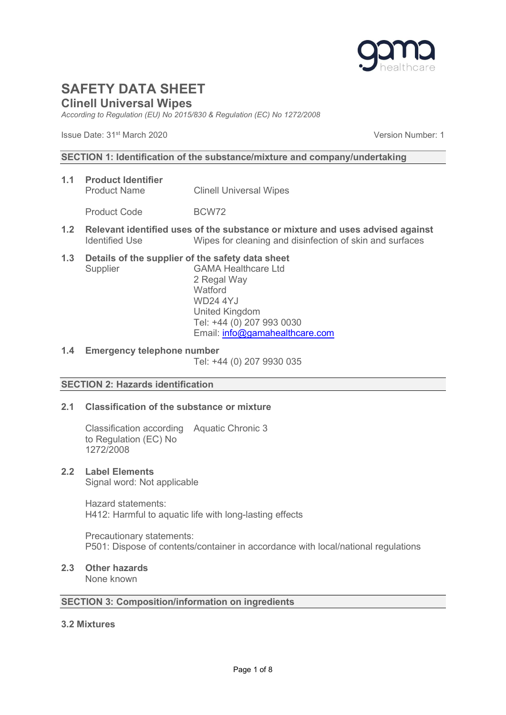

## Clinell Universal Wipes

According to Regulation (EU) No 2015/830 & Regulation (EC) No 1272/2008

Issue Date: 31st March 2020 Version Number: 1

### SECTION 1: Identification of the substance/mixture and company/undertaking

- 1.1 Product Identifier Product Name Clinell Universal Wipes Product Code BCW72
- 1.2 Relevant identified uses of the substance or mixture and uses advised against Identified Use Wipes for cleaning and disinfection of skin and surfaces
- 1.3 Details of the supplier of the safety data sheet Supplier GAMA Healthcare Ltd 2 Regal Way

**Watford**  WD24 4YJ United Kingdom Tel: +44 (0) 207 993 0030 Email: info@gamahealthcare.com

1.4 Emergency telephone number

Tel: +44 (0) 207 9930 035

## SECTION 2: Hazards identification

## 2.1 Classification of the substance or mixture

 Classification according Aquatic Chronic 3 to Regulation (EC) No 1272/2008

## 2.2 Label Elements

Signal word: Not applicable

 Hazard statements: H412: Harmful to aquatic life with long-lasting effects

 Precautionary statements: P501: Dispose of contents/container in accordance with local/national regulations

## 2.3 Other hazards

None known

## SECTION 3: Composition/information on ingredients

### 3.2 Mixtures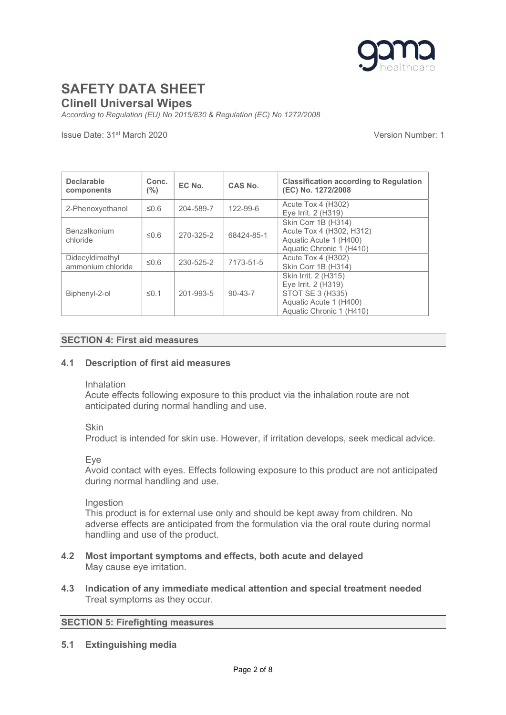

Clinell Universal Wipes

According to Regulation (EU) No 2015/830 & Regulation (EC) No 1272/2008

Issue Date: 31st March 2020 Version Number: 1

| <b>Declarable</b><br>components      | Conc.<br>$(\% )$ | EC No.    | CAS No.       | <b>Classification according to Regulation</b><br>(EC) No. 1272/2008                                                   |
|--------------------------------------|------------------|-----------|---------------|-----------------------------------------------------------------------------------------------------------------------|
| 2-Phenoxyethanol                     | ≤0.6             | 204-589-7 | 122-99-6      | Acute Tox 4 (H302)<br>Eye Irrit. 2 (H319)                                                                             |
| Benzalkonium<br>chloride             | 50.6             | 270-325-2 | 68424-85-1    | Skin Corr 1B (H314)<br>Acute Tox 4 (H302, H312)<br>Aquatic Acute 1 (H400)<br>Aquatic Chronic 1 (H410)                 |
| Didecyldimethyl<br>ammonium chloride | $\leq 0.6$       | 230-525-2 | 7173-51-5     | Acute Tox 4 (H302)<br>Skin Corr 1B (H314)                                                                             |
| Biphenyl-2-ol                        | $\leq$ 0.1       | 201-993-5 | $90 - 43 - 7$ | Skin Irrit. 2 (H315)<br>Eye Irrit. 2 (H319)<br>STOT SE 3 (H335)<br>Aquatic Acute 1 (H400)<br>Aquatic Chronic 1 (H410) |

### SECTION 4: First aid measures

### 4.1 Description of first aid measures

#### Inhalation

Acute effects following exposure to this product via the inhalation route are not anticipated during normal handling and use.

### Skin

Product is intended for skin use. However, if irritation develops, seek medical advice.

### Eye

Avoid contact with eyes. Effects following exposure to this product are not anticipated during normal handling and use.

### Ingestion

This product is for external use only and should be kept away from children. No adverse effects are anticipated from the formulation via the oral route during normal handling and use of the product.

- 4.2 Most important symptoms and effects, both acute and delayed May cause eye irritation.
- 4.3 Indication of any immediate medical attention and special treatment needed Treat symptoms as they occur.

### SECTION 5: Firefighting measures

5.1 Extinguishing media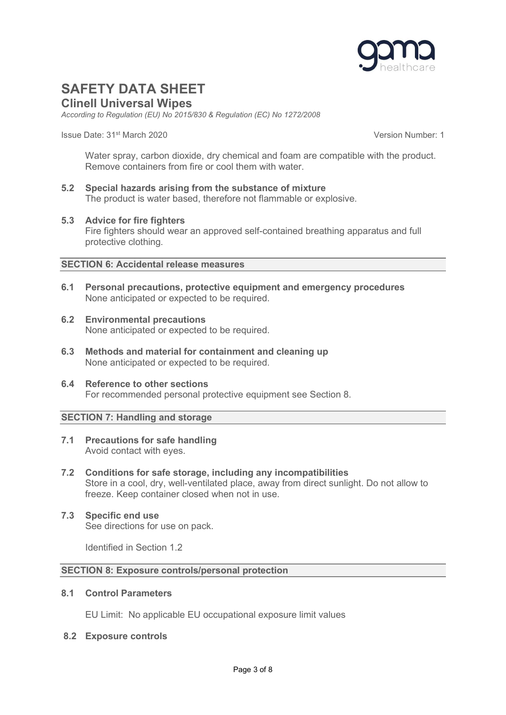

Clinell Universal Wipes

According to Regulation (EU) No 2015/830 & Regulation (EC) No 1272/2008

Issue Date: 31st March 2020 Version Number: 1

Water spray, carbon dioxide, dry chemical and foam are compatible with the product. Remove containers from fire or cool them with water.

5.2 Special hazards arising from the substance of mixture The product is water based, therefore not flammable or explosive.

### 5.3 Advice for fire fighters

Fire fighters should wear an approved self-contained breathing apparatus and full protective clothing.

### SECTION 6: Accidental release measures

- 6.1 Personal precautions, protective equipment and emergency procedures None anticipated or expected to be required.
- 6.2 Environmental precautions None anticipated or expected to be required.
- 6.3 Methods and material for containment and cleaning up None anticipated or expected to be required.
- 6.4 Reference to other sections For recommended personal protective equipment see Section 8.

## SECTION 7: Handling and storage

- 7.1 Precautions for safe handling Avoid contact with eyes.
- 7.2 Conditions for safe storage, including any incompatibilities Store in a cool, dry, well-ventilated place, away from direct sunlight. Do not allow to freeze. Keep container closed when not in use.
- 7.3 Specific end use See directions for use on pack.

Identified in Section 1.2

### SECTION 8: Exposure controls/personal protection

### 8.1 Control Parameters

EU Limit: No applicable EU occupational exposure limit values

### 8.2 Exposure controls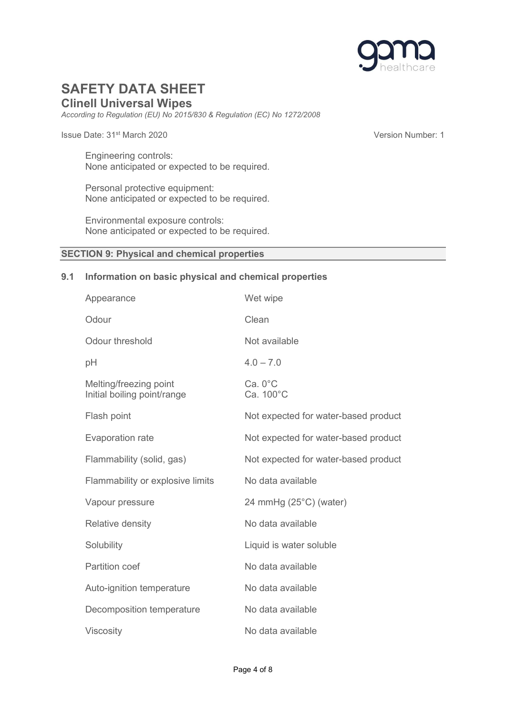

## Clinell Universal Wipes

According to Regulation (EU) No 2015/830 & Regulation (EC) No 1272/2008

Issue Date: 31st March 2020 Version Number: 1

 Engineering controls: None anticipated or expected to be required.

Personal protective equipment: None anticipated or expected to be required.

 Environmental exposure controls: None anticipated or expected to be required.

### SECTION 9: Physical and chemical properties

### 9.1 Information on basic physical and chemical properties

| Appearance                                            | Wet wipe                             |
|-------------------------------------------------------|--------------------------------------|
| Odour                                                 | Clean                                |
| Odour threshold                                       | Not available                        |
| pH                                                    | $4.0 - 7.0$                          |
| Melting/freezing point<br>Initial boiling point/range | $Ca. 0^{\circ}C$<br>Ca. 100°C        |
| Flash point                                           | Not expected for water-based product |
| <b>Evaporation rate</b>                               | Not expected for water-based product |
| Flammability (solid, gas)                             | Not expected for water-based product |
| Flammability or explosive limits                      | No data available                    |
| Vapour pressure                                       | 24 mmHg (25°C) (water)               |
| Relative density                                      | No data available                    |
| Solubility                                            | Liquid is water soluble              |
| <b>Partition coef</b>                                 | No data available                    |
| Auto-ignition temperature                             | No data available                    |
| Decomposition temperature                             | No data available                    |
| <b>Viscosity</b>                                      | No data available                    |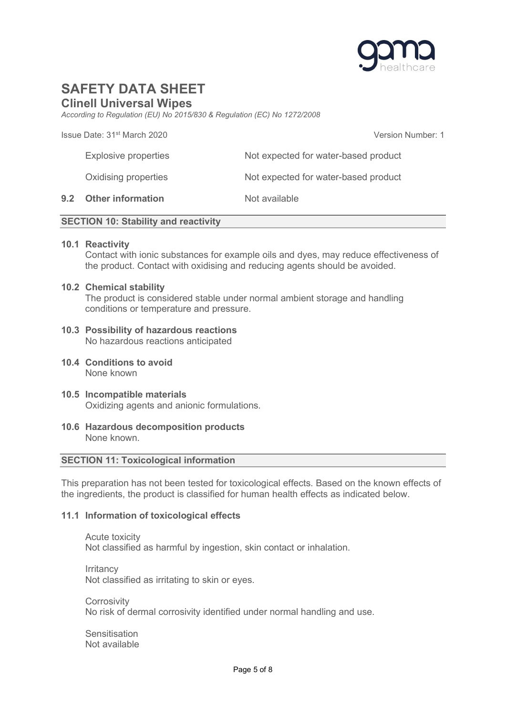

## Clinell Universal Wipes

According to Regulation (EU) No 2015/830 & Regulation (EC) No 1272/2008

Issue Date: 31st March 2020 Version Number: 1

Explosive properties Not expected for water-based product Oxidising properties Not expected for water-based product 9.2 Other information Not available

### SECTION 10: Stability and reactivity

### 10.1 Reactivity

Contact with ionic substances for example oils and dyes, may reduce effectiveness of the product. Contact with oxidising and reducing agents should be avoided.

#### 10.2 Chemical stability

The product is considered stable under normal ambient storage and handling conditions or temperature and pressure.

#### 10.3 Possibility of hazardous reactions No hazardous reactions anticipated

- 10.4 Conditions to avoid None known
- 10.5 Incompatible materials Oxidizing agents and anionic formulations.
- 10.6 Hazardous decomposition products None known.

### SECTION 11: Toxicological information

This preparation has not been tested for toxicological effects. Based on the known effects of the ingredients, the product is classified for human health effects as indicated below.

### 11.1 Information of toxicological effects

 Acute toxicity Not classified as harmful by ingestion, skin contact or inhalation.

**Irritancy** Not classified as irritating to skin or eyes.

**Corrosivity** No risk of dermal corrosivity identified under normal handling and use.

**Sensitisation** Not available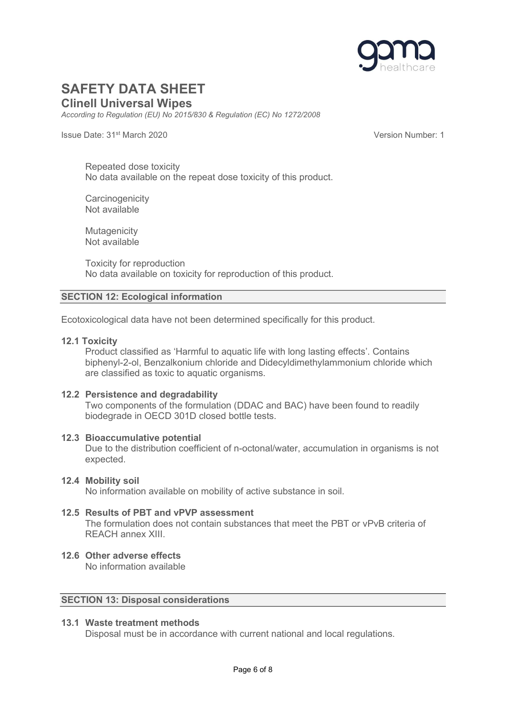

Clinell Universal Wipes

According to Regulation (EU) No 2015/830 & Regulation (EC) No 1272/2008

Issue Date: 31st March 2020 Version Number: 1

 Repeated dose toxicity No data available on the repeat dose toxicity of this product.

**Carcinogenicity** Not available

**Mutagenicity** Not available

 Toxicity for reproduction No data available on toxicity for reproduction of this product.

## SECTION 12: Ecological information

Ecotoxicological data have not been determined specifically for this product.

### 12.1 Toxicity

Product classified as 'Harmful to aquatic life with long lasting effects'. Contains biphenyl-2-ol, Benzalkonium chloride and Didecyldimethylammonium chloride which are classified as toxic to aquatic organisms.

### 12.2 Persistence and degradability

Two components of the formulation (DDAC and BAC) have been found to readily biodegrade in OECD 301D closed bottle tests.

### 12.3 Bioaccumulative potential

Due to the distribution coefficient of n-octonal/water, accumulation in organisms is not expected.

### 12.4 Mobility soil

No information available on mobility of active substance in soil.

#### 12.5 Results of PBT and vPVP assessment The formulation does not contain substances that meet the PBT or vPvB criteria of

REACH annex XIII.

## 12.6 Other adverse effects

No information available

### SECTION 13: Disposal considerations

## 13.1 Waste treatment methods

Disposal must be in accordance with current national and local regulations.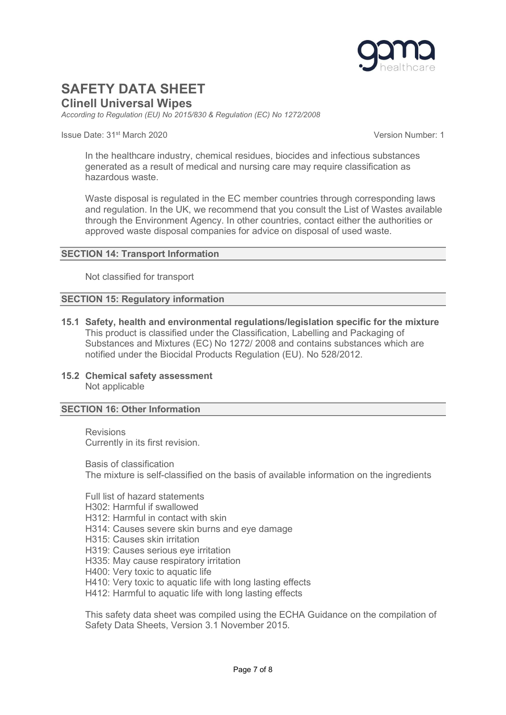

Clinell Universal Wipes

According to Regulation (EU) No 2015/830 & Regulation (EC) No 1272/2008

Issue Date: 31st March 2020 Version Number: 1

In the healthcare industry, chemical residues, biocides and infectious substances generated as a result of medical and nursing care may require classification as hazardous waste.

Waste disposal is regulated in the EC member countries through corresponding laws and regulation. In the UK, we recommend that you consult the List of Wastes available through the Environment Agency. In other countries, contact either the authorities or approved waste disposal companies for advice on disposal of used waste.

### SECTION 14: Transport Information

Not classified for transport

### SECTION 15: Regulatory information

- 15.1 Safety, health and environmental regulations/legislation specific for the mixture This product is classified under the Classification, Labelling and Packaging of Substances and Mixtures (EC) No 1272/ 2008 and contains substances which are notified under the Biocidal Products Regulation (EU). No 528/2012.
- 15.2 Chemical safety assessment Not applicable

### SECTION 16: Other Information

 Revisions Currently in its first revision.

 Basis of classification The mixture is self-classified on the basis of available information on the ingredients

 Full list of hazard statements H302: Harmful if swallowed H312: Harmful in contact with skin H314: Causes severe skin burns and eye damage H315: Causes skin irritation H319: Causes serious eye irritation H335: May cause respiratory irritation H400: Very toxic to aquatic life H410: Very toxic to aquatic life with long lasting effects H412: Harmful to aquatic life with long lasting effects

This safety data sheet was compiled using the ECHA Guidance on the compilation of Safety Data Sheets, Version 3.1 November 2015.